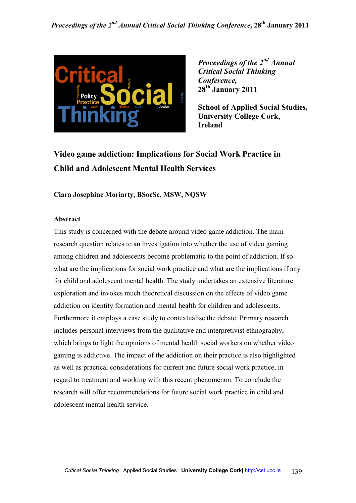

**School of Applied Social Studies, University College Cork, Ireland**

# **Video game addiction: Implications for Social Work Practice in Child and Adolescent Mental Health Services**

**Ciara Josephine Moriarty, BSocSc, MSW, NOSW** 

#### **Abstract**

This study is concerned with the debate around video game addiction. The main research question relates to an investigation into whether the use of video gaming among children and adolescents become problematic to the point of addiction. If so what are the implications for social work practice and what are the implications if any for child and adolescent mental health. The study undertakes an extensive literature exploration and invokes much theoretical discussion on the effects of video game addiction on identity formation and mental health for children and adolescents. Furthermore it employs a case study to contextualise the debate. Primary research includes personal interviews from the qualitative and interpretivist ethnography, which brings to light the opinions of mental health social workers on whether video gaming is addictive. The impact of the addiction on their practice is also highlighted as well as practical considerations for current and future social work practice, in regard to treatment and working with this recent phenomenon. To conclude the research will offer recommendations for future social work practice in child and adolescent mental health service.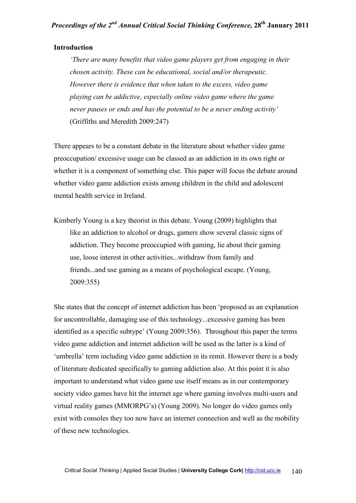#### **Introduction**

*'There are many benefits that video game players get from engaging in their chosen activity. These can be educational, social and/or therapeutic. However there is evidence that when taken to the excess, video game playing can be addictive, especially online video game where the game never pauses or ends and has the potential to be a never ending activity'*  (Griffiths and Meredith 2009:247)

There appears to be a constant debate in the literature about whether video game preoccupation/ excessive usage can be classed as an addiction in its own right or whether it is a component of something else. This paper will focus the debate around whether video game addiction exists among children in the child and adolescent mental health service in Ireland.

Kimberly Young is a key theorist in this debate. Young (2009) highlights that like an addiction to alcohol or drugs, gamers show several classic signs of addiction. They become preoccupied with gaming, lie about their gaming use, loose interest in other activities...withdraw from family and friends...and use gaming as a means of psychological escape. (Young, 2009:355)

She states that the concept of internet addiction has been 'proposed as an explanation for uncontrollable, damaging use of this technology...excessive gaming has been identified as a specific subtype' (Young 2009:356). Throughout this paper the terms video game addiction and internet addiction will be used as the latter is a kind of 'umbrella' term including video game addiction in its remit. However there is a body of literature dedicated specifically to gaming addiction also. At this point it is also important to understand what video game use itself means as in our contemporary society video games have hit the internet age where gaming involves multi-users and virtual reality games (MMORPG's) (Young 2009). No longer do video games only exist with consoles they too now have an internet connection and well as the mobility of these new technologies.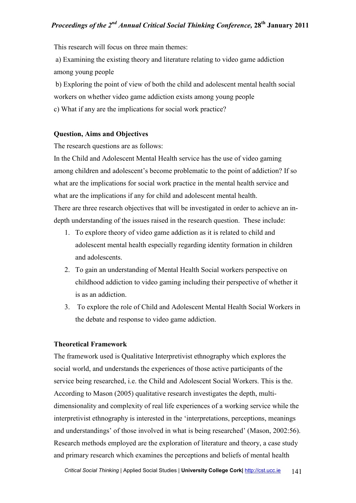This research will focus on three main themes:

 a) Examining the existing theory and literature relating to video game addiction among young people

 b) Exploring the point of view of both the child and adolescent mental health social workers on whether video game addiction exists among young people c) What if any are the implications for social work practice?

#### **Question, Aims and Objectives**

The research questions are as follows:

In the Child and Adolescent Mental Health service has the use of video gaming among children and adolescent's become problematic to the point of addiction? If so what are the implications for social work practice in the mental health service and what are the implications if any for child and adolescent mental health. There are three research objectives that will be investigated in order to achieve an indepth understanding of the issues raised in the research question. These include:

- 1. To explore theory of video game addiction as it is related to child and adolescent mental health especially regarding identity formation in children and adolescents.
- 2. To gain an understanding of Mental Health Social workers perspective on childhood addiction to video gaming including their perspective of whether it is as an addiction.
- 3. To explore the role of Child and Adolescent Mental Health Social Workers in the debate and response to video game addiction.

#### **Theoretical Framework**

The framework used is Qualitative Interpretivist ethnography which explores the social world, and understands the experiences of those active participants of the service being researched, i.e. the Child and Adolescent Social Workers. This is the. According to Mason (2005) qualitative research investigates the depth, multidimensionality and complexity of real life experiences of a working service while the interpretivist ethnography is interested in the 'interpretations, perceptions, meanings and understandings' of those involved in what is being researched' (Mason, 2002:56). Research methods employed are the exploration of literature and theory, a case study and primary research which examines the perceptions and beliefs of mental health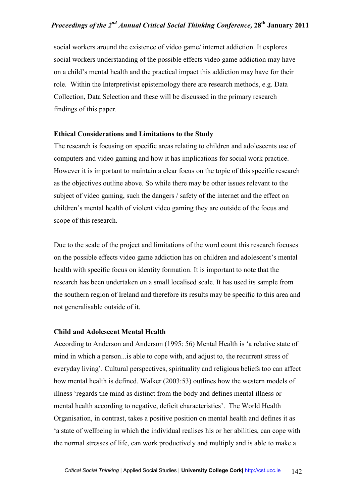social workers around the existence of video game/ internet addiction. It explores social workers understanding of the possible effects video game addiction may have on a child's mental health and the practical impact this addiction may have for their role. Within the Interpretivist epistemology there are research methods, e.g. Data Collection, Data Selection and these will be discussed in the primary research findings of this paper.

#### **Ethical Considerations and Limitations to the Study**

The research is focusing on specific areas relating to children and adolescents use of computers and video gaming and how it has implications for social work practice. However it is important to maintain a clear focus on the topic of this specific research as the objectives outline above. So while there may be other issues relevant to the subject of video gaming, such the dangers / safety of the internet and the effect on children's mental health of violent video gaming they are outside of the focus and scope of this research.

Due to the scale of the project and limitations of the word count this research focuses on the possible effects video game addiction has on children and adolescent's mental health with specific focus on identity formation. It is important to note that the research has been undertaken on a small localised scale. It has used its sample from the southern region of Ireland and therefore its results may be specific to this area and not generalisable outside of it.

#### **Child and Adolescent Mental Health**

According to Anderson and Anderson (1995: 56) Mental Health is 'a relative state of mind in which a person...is able to cope with, and adjust to, the recurrent stress of everyday living'. Cultural perspectives, spirituality and religious beliefs too can affect how mental health is defined. Walker (2003:53) outlines how the western models of illness 'regards the mind as distinct from the body and defines mental illness or mental health according to negative, deficit characteristics'. The World Health Organisation, in contrast, takes a positive position on mental health and defines it as 'a state of wellbeing in which the individual realises his or her abilities, can cope with the normal stresses of life, can work productively and multiply and is able to make a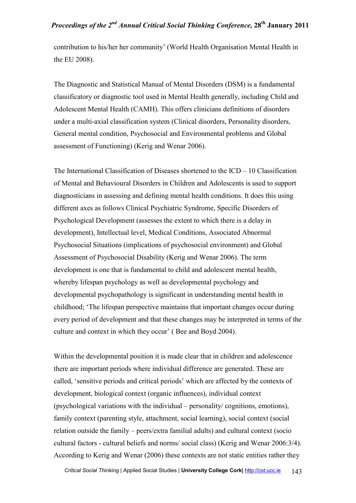contribution to his/her her community' (World Health Organisation Mental Health in the EU 2008).

The Diagnostic and Statistical Manual of Mental Disorders (DSM) is a fundamental classificatory or diagnostic tool used in Mental Health generally, including Child and Adolescent Mental Health (CAMH). This offers clinicians definitions of disorders under a multi-axial classification system (Clinical disorders, Personality disorders, General mental condition, Psychosocial and Environmental problems and Global assessment of Functioning) (Kerig and Wenar 2006).

The International Classification of Diseases shortened to the ICD – 10 Classification of Mental and Behavioural Disorders in Children and Adolescents is used to support diagnosticians in assessing and defining mental health conditions. It does this using different axes as follows Clinical Psychiatric Syndrome, Specific Disorders of Psychological Development (assesses the extent to which there is a delay in development), Intellectual level, Medical Conditions, Associated Abnormal Psychosocial Situations (implications of psychosocial environment) and Global Assessment of Psychosocial Disability (Kerig and Wenar 2006). The term development is one that is fundamental to child and adolescent mental health, whereby lifespan psychology as well as developmental psychology and developmental psychopathology is significant in understanding mental health in childhood; 'The lifespan perspective maintains that important changes occur during every period of development and that these changes may be interpreted in terms of the culture and context in which they occur' ( Bee and Boyd 2004).

Within the developmental position it is made clear that in children and adolescence there are important periods where individual difference are generated. These are called, 'sensitive periods and critical periods' which are affected by the contexts of development, biological context (organic influences), individual context (psychological variations with the individual – personality/ cognitions, emotions), family context (parenting style, attachment, social learning), social context (social relation outside the family – peers/extra familial adults) and cultural context (socio cultural factors - cultural beliefs and norms/ social class) (Kerig and Wenar 2006:3/4). According to Kerig and Wenar (2006) these contexts are not static entities rather they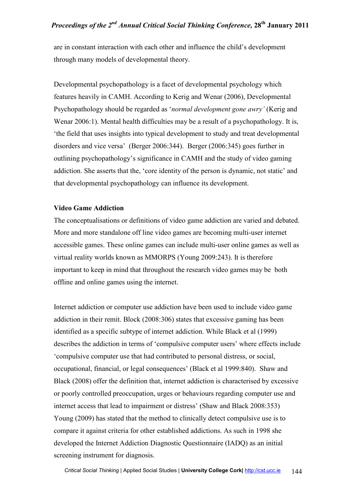are in constant interaction with each other and influence the child's development through many models of developmental theory.

Developmental psychopathology is a facet of developmental psychology which features heavily in CAMH. According to Kerig and Wenar (2006), Developmental Psychopathology should be regarded as '*normal development gone awry'* (Kerig and Wenar 2006:1). Mental health difficulties may be a result of a psychopathology. It is, 'the field that uses insights into typical development to study and treat developmental disorders and vice versa' (Berger 2006:344). Berger (2006:345) goes further in outlining psychopathology's significance in CAMH and the study of video gaming addiction. She asserts that the, 'core identity of the person is dynamic, not static' and that developmental psychopathology can influence its development.

#### **Video Game Addiction**

The conceptualisations or definitions of video game addiction are varied and debated. More and more standalone off line video games are becoming multi-user internet accessible games. These online games can include multi-user online games as well as virtual reality worlds known as MMORPS (Young 2009:243). It is therefore important to keep in mind that throughout the research video games may be both offline and online games using the internet.

Internet addiction or computer use addiction have been used to include video game addiction in their remit. Block (2008:306) states that excessive gaming has been identified as a specific subtype of internet addiction. While Black et al (1999) describes the addiction in terms of 'compulsive computer users' where effects include 'compulsive computer use that had contributed to personal distress, or social, occupational, financial, or legal consequences' (Black et al 1999:840). Shaw and Black (2008) offer the definition that, internet addiction is characterised by excessive or poorly controlled preoccupation, urges or behaviours regarding computer use and internet access that lead to impairment or distress' (Shaw and Black 2008:353) Young (2009) has stated that the method to clinically detect compulsive use is to compare it against criteria for other established addictions. As such in 1998 she developed the Internet Addiction Diagnostic Questionnaire (IADQ) as an initial screening instrument for diagnosis.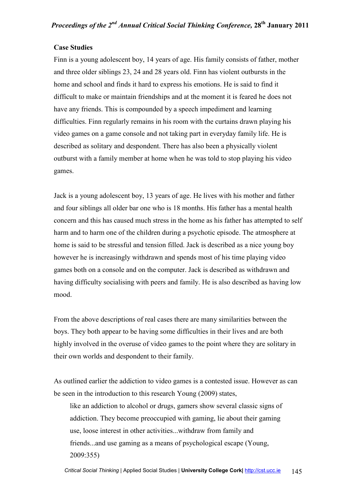#### **Case Studies**

Finn is a young adolescent boy, 14 years of age. His family consists of father, mother and three older siblings 23, 24 and 28 years old. Finn has violent outbursts in the home and school and finds it hard to express his emotions. He is said to find it difficult to make or maintain friendships and at the moment it is feared he does not have any friends. This is compounded by a speech impediment and learning difficulties. Finn regularly remains in his room with the curtains drawn playing his video games on a game console and not taking part in everyday family life. He is described as solitary and despondent. There has also been a physically violent outburst with a family member at home when he was told to stop playing his video games.

Jack is a young adolescent boy, 13 years of age. He lives with his mother and father and four siblings all older bar one who is 18 months. His father has a mental health concern and this has caused much stress in the home as his father has attempted to self harm and to harm one of the children during a psychotic episode. The atmosphere at home is said to be stressful and tension filled. Jack is described as a nice young boy however he is increasingly withdrawn and spends most of his time playing video games both on a console and on the computer. Jack is described as withdrawn and having difficulty socialising with peers and family. He is also described as having low mood.

From the above descriptions of real cases there are many similarities between the boys. They both appear to be having some difficulties in their lives and are both highly involved in the overuse of video games to the point where they are solitary in their own worlds and despondent to their family.

As outlined earlier the addiction to video games is a contested issue. However as can be seen in the introduction to this research Young (2009) states,

like an addiction to alcohol or drugs, gamers show several classic signs of addiction. They become preoccupied with gaming, lie about their gaming use, loose interest in other activities...withdraw from family and friends...and use gaming as a means of psychological escape (Young, 2009:355)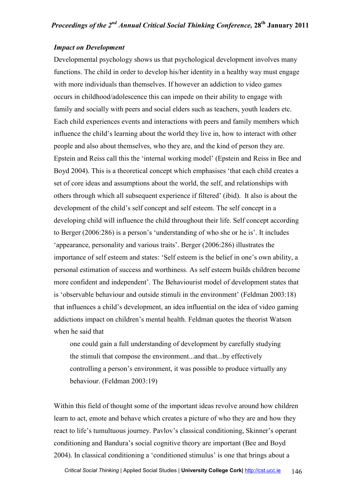#### *Impact on Development*

Developmental psychology shows us that psychological development involves many functions. The child in order to develop his/her identity in a healthy way must engage with more individuals than themselves. If however an addiction to video games occurs in childhood/adolescence this can impede on their ability to engage with family and socially with peers and social elders such as teachers, youth leaders etc. Each child experiences events and interactions with peers and family members which influence the child's learning about the world they live in, how to interact with other people and also about themselves, who they are, and the kind of person they are. Epstein and Reiss call this the 'internal working model' (Epstein and Reiss in Bee and Boyd 2004). This is a theoretical concept which emphasises 'that each child creates a set of core ideas and assumptions about the world, the self, and relationships with others through which all subsequent experience if filtered' (ibid). It also is about the development of the child's self concept and self esteem. The self concept in a developing child will influence the child throughout their life. Self concept according to Berger (2006:286) is a person's 'understanding of who she or he is'. It includes 'appearance, personality and various traits'. Berger (2006:286) illustrates the importance of self esteem and states: 'Self esteem is the belief in one's own ability, a personal estimation of success and worthiness. As self esteem builds children become more confident and independent'. The Behaviourist model of development states that is 'observable behaviour and outside stimuli in the environment' (Feldman 2003:18) that influences a child's development, an idea influential on the idea of video gaming addictions impact on children's mental health. Feldman quotes the theorist Watson when he said that

one could gain a full understanding of development by carefully studying the stimuli that compose the environment...and that...by effectively controlling a person's environment, it was possible to produce virtually any behaviour. (Feldman 2003:19)

Within this field of thought some of the important ideas revolve around how children learn to act, emote and behave which creates a picture of who they are and how they react to life's tumultuous journey. Pavlov's classical conditioning, Skinner's operant conditioning and Bandura's social cognitive theory are important (Bee and Boyd 2004). In classical conditioning a 'conditioned stimulus' is one that brings about a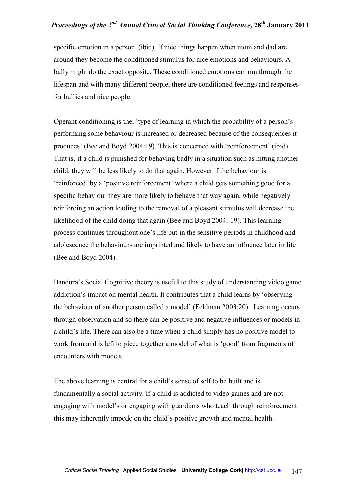specific emotion in a person (ibid). If nice things happen when mom and dad are around they become the conditioned stimulus for nice emotions and behaviours. A bully might do the exact opposite. These conditioned emotions can run through the lifespan and with many different people, there are conditioned feelings and responses for bullies and nice people.

Operant conditioning is the, 'type of learning in which the probability of a person's performing some behaviour is increased or decreased because of the consequences it produces' (Bee and Boyd 2004:19). This is concerned with 'reinforcement' (ibid). That is, if a child is punished for behaving badly in a situation such as hitting another child, they will be less likely to do that again. However if the behaviour is 'reinforced' by a 'positive reinforcement' where a child gets something good for a specific behaviour they are more likely to behave that way again, while negatively reinforcing an action leading to the removal of a pleasant stimulus will decrease the likelihood of the child doing that again (Bee and Boyd 2004: 19). This learning process continues throughout one's life but in the sensitive periods in childhood and adolescence the behaviours are imprinted and likely to have an influence later in life (Bee and Boyd 2004).

Bandura's Social Cognitive theory is useful to this study of understanding video game addiction's impact on mental health. It contributes that a child learns by 'observing the behaviour of another person called a model' (Feldman 2003:20). Learning occurs through observation and so there can be positive and negative influences or models in a child's life. There can also be a time when a child simply has no positive model to work from and is left to piece together a model of what is 'good' from fragments of encounters with models.

The above learning is central for a child's sense of self to be built and is fundamentally a social activity. If a child is addicted to video games and are not engaging with model's or engaging with guardians who teach through reinforcement this may inherently impede on the child's positive growth and mental health.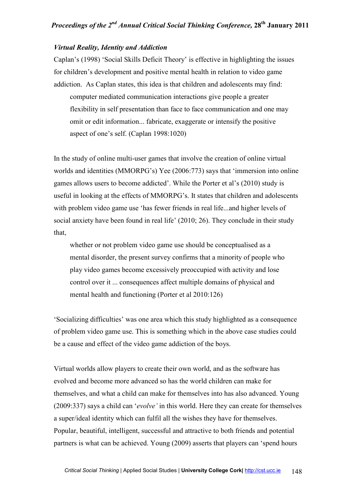#### *Virtual Reality, Identity and Addiction*

Caplan's (1998) 'Social Skills Deficit Theory' is effective in highlighting the issues for children's development and positive mental health in relation to video game addiction. As Caplan states, this idea is that children and adolescents may find: computer mediated communication interactions give people a greater flexibility in self presentation than face to face communication and one may omit or edit information... fabricate, exaggerate or intensify the positive aspect of one's self. (Caplan 1998:1020)

In the study of online multi-user games that involve the creation of online virtual worlds and identities (MMORPG's) Yee (2006:773) says that 'immersion into online games allows users to become addicted'. While the Porter et al's (2010) study is useful in looking at the effects of MMORPG's. It states that children and adolescents with problem video game use 'has fewer friends in real life...and higher levels of social anxiety have been found in real life' (2010; 26). They conclude in their study that,

whether or not problem video game use should be conceptualised as a mental disorder, the present survey confirms that a minority of people who play video games become excessively preoccupied with activity and lose control over it ... consequences affect multiple domains of physical and mental health and functioning (Porter et al 2010:126)

'Socializing difficulties' was one area which this study highlighted as a consequence of problem video game use. This is something which in the above case studies could be a cause and effect of the video game addiction of the boys.

Virtual worlds allow players to create their own world, and as the software has evolved and become more advanced so has the world children can make for themselves, and what a child can make for themselves into has also advanced. Young (2009:337) says a child can '*evolve'* in this world. Here they can create for themselves a super/ideal identity which can fulfil all the wishes they have for themselves. Popular, beautiful, intelligent, successful and attractive to both friends and potential partners is what can be achieved. Young (2009) asserts that players can 'spend hours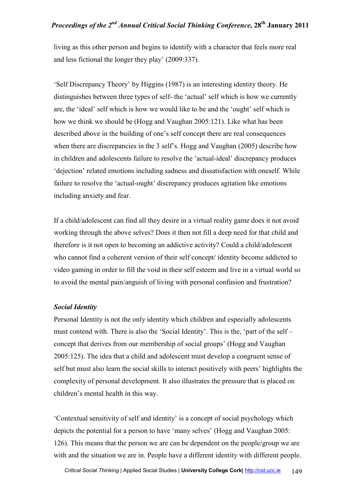living as this other person and begins to identify with a character that feels more real and less fictional the longer they play' (2009:337).

'Self Discrepancy Theory' by Higgins (1987) is an interesting identity theory. He distinguishes between three types of self- the 'actual' self which is how we currently are, the 'ideal' self which is how we would like to be and the 'ought' self which is how we think we should be (Hogg and Vaughan 2005:121). Like what has been described above in the building of one's self concept there are real consequences when there are discrepancies in the 3 self's. Hogg and Vaughan (2005) describe how in children and adolescents failure to resolve the 'actual-ideal' discrepancy produces 'dejection' related emotions including sadness and dissatisfaction with oneself. While failure to resolve the 'actual-ought' discrepancy produces agitation like emotions including anxiety and fear.

If a child/adolescent can find all they desire in a virtual reality game does it not avoid working through the above selves? Does it then not fill a deep need for that child and therefore is it not open to becoming an addictive activity? Could a child/adolescent who cannot find a coherent version of their self concept/ identity become addicted to video gaming in order to fill the void in their self esteem and live in a virtual world so to avoid the mental pain/anguish of living with personal confusion and frustration?

#### *Social Identity*

Personal Identity is not the only identity which children and especially adolescents must contend with. There is also the 'Social Identity'. This is the, 'part of the self – concept that derives from our membership of social groups' (Hogg and Vaughan 2005:125). The idea that a child and adolescent must develop a congruent sense of self but must also learn the social skills to interact positively with peers' highlights the complexity of personal development. It also illustrates the pressure that is placed on children's mental health in this way.

'Contextual sensitivity of self and identity' is a concept of social psychology which depicts the potential for a person to have 'many selves' (Hogg and Vaughan 2005: 126). This means that the person we are can be dependent on the people/group we are with and the situation we are in. People have a different identity with different people.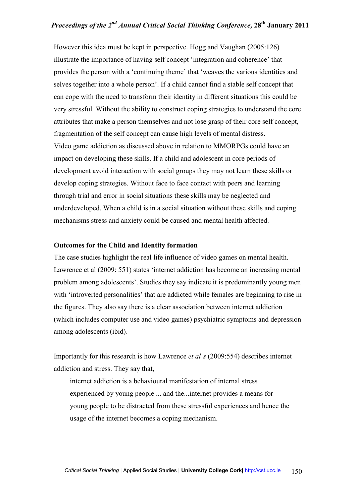However this idea must be kept in perspective. Hogg and Vaughan (2005:126) illustrate the importance of having self concept 'integration and coherence' that provides the person with a 'continuing theme' that 'weaves the various identities and selves together into a whole person'. If a child cannot find a stable self concept that can cope with the need to transform their identity in different situations this could be very stressful. Without the ability to construct coping strategies to understand the core attributes that make a person themselves and not lose grasp of their core self concept, fragmentation of the self concept can cause high levels of mental distress. Video game addiction as discussed above in relation to MMORPGs could have an impact on developing these skills. If a child and adolescent in core periods of development avoid interaction with social groups they may not learn these skills or develop coping strategies. Without face to face contact with peers and learning through trial and error in social situations these skills may be neglected and underdeveloped. When a child is in a social situation without these skills and coping mechanisms stress and anxiety could be caused and mental health affected.

#### **Outcomes for the Child and Identity formation**

The case studies highlight the real life influence of video games on mental health. Lawrence et al (2009: 551) states 'internet addiction has become an increasing mental problem among adolescents'. Studies they say indicate it is predominantly young men with 'introverted personalities' that are addicted while females are beginning to rise in the figures. They also say there is a clear association between internet addiction (which includes computer use and video games) psychiatric symptoms and depression among adolescents (ibid).

Importantly for this research is how Lawrence *et al's* (2009:554) describes internet addiction and stress. They say that,

internet addiction is a behavioural manifestation of internal stress experienced by young people ... and the...internet provides a means for young people to be distracted from these stressful experiences and hence the usage of the internet becomes a coping mechanism.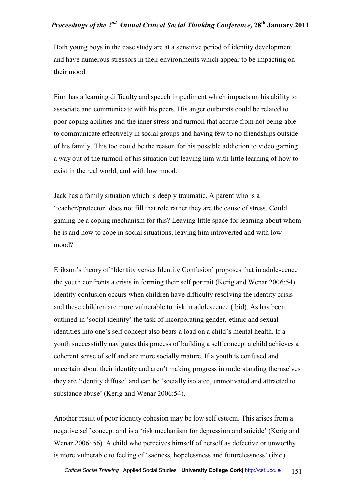Both young boys in the case study are at a sensitive period of identity development and have numerous stressors in their environments which appear to be impacting on their mood.

Finn has a learning difficulty and speech impediment which impacts on his ability to associate and communicate with his peers. His anger outbursts could be related to poor coping abilities and the inner stress and turmoil that accrue from not being able to communicate effectively in social groups and having few to no friendships outside of his family. This too could be the reason for his possible addiction to video gaming a way out of the turmoil of his situation but leaving him with little learning of how to exist in the real world, and with low mood.

Jack has a family situation which is deeply traumatic. A parent who is a 'teacher/protector' does not fill that role rather they are the cause of stress. Could gaming be a coping mechanism for this? Leaving little space for learning about whom he is and how to cope in social situations, leaving him introverted and with low mood?

Erikson's theory of 'Identity versus Identity Confusion' proposes that in adolescence the youth confronts a crisis in forming their self portrait (Kerig and Wenar 2006:54). Identity confusion occurs when children have difficulty resolving the identity crisis and these children are more vulnerable to risk in adolescence (ibid). As has been outlined in 'social identity' the task of incorporating gender, ethnic and sexual identities into one's self concept also bears a load on a child's mental health. If a youth successfully navigates this process of building a self concept a child achieves a coherent sense of self and are more socially mature. If a youth is confused and uncertain about their identity and aren't making progress in understanding themselves they are 'identity diffuse' and can be 'socially isolated, unmotivated and attracted to substance abuse' (Kerig and Wenar 2006:54).

Another result of poor identity cohesion may be low self esteem. This arises from a negative self concept and is a 'risk mechanism for depression and suicide' (Kerig and Wenar 2006: 56). A child who perceives himself of herself as defective or unworthy is more vulnerable to feeling of 'sadness, hopelessness and futurelessness' (ibid).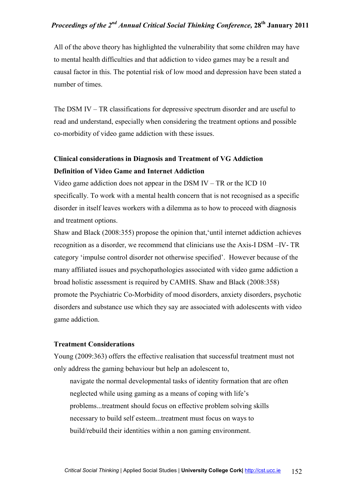All of the above theory has highlighted the vulnerability that some children may have to mental health difficulties and that addiction to video games may be a result and causal factor in this. The potential risk of low mood and depression have been stated a number of times.

The DSM IV – TR classifications for depressive spectrum disorder and are useful to read and understand, especially when considering the treatment options and possible co-morbidity of video game addiction with these issues.

## **Clinical considerations in Diagnosis and Treatment of VG Addiction Definition of Video Game and Internet Addiction**

Video game addiction does not appear in the DSM IV – TR or the ICD 10 specifically. To work with a mental health concern that is not recognised as a specific disorder in itself leaves workers with a dilemma as to how to proceed with diagnosis and treatment options.

Shaw and Black (2008:355) propose the opinion that,'until internet addiction achieves recognition as a disorder, we recommend that clinicians use the Axis-I DSM –IV- TR category 'impulse control disorder not otherwise specified'. However because of the many affiliated issues and psychopathologies associated with video game addiction a broad holistic assessment is required by CAMHS. Shaw and Black (2008:358) promote the Psychiatric Co-Morbidity of mood disorders, anxiety disorders, psychotic disorders and substance use which they say are associated with adolescents with video game addiction.

#### **Treatment Considerations**

Young (2009:363) offers the effective realisation that successful treatment must not only address the gaming behaviour but help an adolescent to,

navigate the normal developmental tasks of identity formation that are often neglected while using gaming as a means of coping with life's problems...treatment should focus on effective problem solving skills necessary to build self esteem...treatment must focus on ways to build/rebuild their identities within a non gaming environment.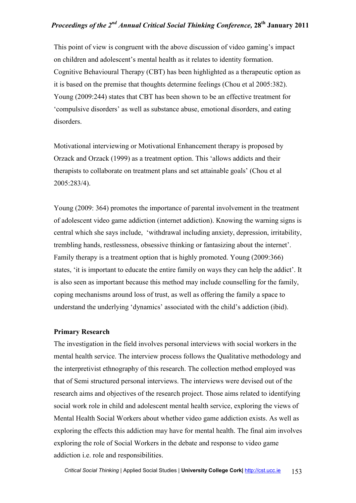This point of view is congruent with the above discussion of video gaming's impact on children and adolescent's mental health as it relates to identity formation. Cognitive Behavioural Therapy (CBT) has been highlighted as a therapeutic option as it is based on the premise that thoughts determine feelings (Chou et al 2005:382). Young (2009:244) states that CBT has been shown to be an effective treatment for 'compulsive disorders' as well as substance abuse, emotional disorders, and eating disorders.

Motivational interviewing or Motivational Enhancement therapy is proposed by Orzack and Orzack (1999) as a treatment option. This 'allows addicts and their therapists to collaborate on treatment plans and set attainable goals' (Chou et al 2005:283/4).

Young (2009: 364) promotes the importance of parental involvement in the treatment of adolescent video game addiction (internet addiction). Knowing the warning signs is central which she says include, 'withdrawal including anxiety, depression, irritability, trembling hands, restlessness, obsessive thinking or fantasizing about the internet'. Family therapy is a treatment option that is highly promoted. Young (2009:366) states, 'it is important to educate the entire family on ways they can help the addict'. It is also seen as important because this method may include counselling for the family, coping mechanisms around loss of trust, as well as offering the family a space to understand the underlying 'dynamics' associated with the child's addiction (ibid).

#### **Primary Research**

The investigation in the field involves personal interviews with social workers in the mental health service. The interview process follows the Qualitative methodology and the interpretivist ethnography of this research. The collection method employed was that of Semi structured personal interviews. The interviews were devised out of the research aims and objectives of the research project. Those aims related to identifying social work role in child and adolescent mental health service, exploring the views of Mental Health Social Workers about whether video game addiction exists. As well as exploring the effects this addiction may have for mental health. The final aim involves exploring the role of Social Workers in the debate and response to video game addiction i.e. role and responsibilities.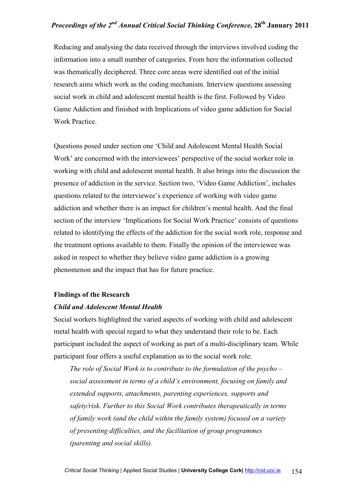Reducing and analysing the data received through the interviews involved coding the information into a small number of categories. From here the information collected was thematically deciphered. Three core areas were identified out of the initial research aims which work as the coding mechanism. Interview questions assessing social work in child and adolescent mental health is the first. Followed by Video Game Addiction and finished with Implications of video game addiction for Social Work Practice.

Questions posed under section one 'Child and Adolescent Mental Health Social Work' are concerned with the interviewees' perspective of the social worker role in working with child and adolescent mental health. It also brings into the discussion the presence of addiction in the service. Section two, 'Video Game Addiction', includes questions related to the interviewee's experience of working with video game addiction and whether there is an impact for children's mental health. And the final section of the interview 'Implications for Social Work Practice' consists of questions related to identifying the effects of the addiction for the social work role, response and the treatment options available to them. Finally the opinion of the interviewee was asked in respect to whether they believe video game addiction is a growing phenomenon and the impact that has for future practice.

#### **Findings of the Research**

#### *Child and Adolescent Mental Health*

Social workers highlighted the varied aspects of working with child and adolescent metal health with special regard to what they understand their role to be. Each participant included the aspect of working as part of a multi-disciplinary team. While participant four offers a useful explanation as to the social work role:

*The role of Social Work is to contribute to the formulation of the psycho – social assessment in terms of a child's environment, focusing on family and extended supports, attachments, parenting experiences, supports and safety/risk. Further to this Social Work contributes therapeutically in terms of family work (and the child within the family system) focused on a variety of presenting difficulties, and the facilitation of group programmes (parenting and social skills).*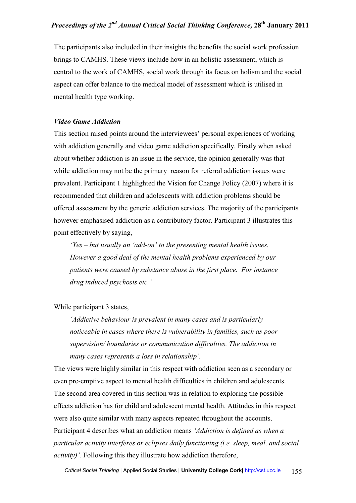The participants also included in their insights the benefits the social work profession brings to CAMHS. These views include how in an holistic assessment, which is central to the work of CAMHS, social work through its focus on holism and the social aspect can offer balance to the medical model of assessment which is utilised in mental health type working.

#### *Video Game Addiction*

This section raised points around the interviewees' personal experiences of working with addiction generally and video game addiction specifically. Firstly when asked about whether addiction is an issue in the service, the opinion generally was that while addiction may not be the primary reason for referral addiction issues were prevalent. Participant 1 highlighted the Vision for Change Policy (2007) where it is recommended that children and adolescents with addiction problems should be offered assessment by the generic addiction services. The majority of the participants however emphasised addiction as a contributory factor. Participant 3 illustrates this point effectively by saying,

*'Yes – but usually an 'add-on' to the presenting mental health issues. However a good deal of the mental health problems experienced by our patients were caused by substance abuse in the first place. For instance drug induced psychosis etc.'* 

#### While participant 3 states,

*'Addictive behaviour is prevalent in many cases and is particularly noticeable in cases where there is vulnerability in families, such as poor supervision/ boundaries or communication difficulties. The addiction in many cases represents a loss in relationship'.* 

The views were highly similar in this respect with addiction seen as a secondary or even pre-emptive aspect to mental health difficulties in children and adolescents. The second area covered in this section was in relation to exploring the possible effects addiction has for child and adolescent mental health. Attitudes in this respect were also quite similar with many aspects repeated throughout the accounts. Participant 4 describes what an addiction means *'Addiction is defined as when a particular activity interferes or eclipses daily functioning (i.e. sleep, meal, and social activity)'.* Following this they illustrate how addiction therefore,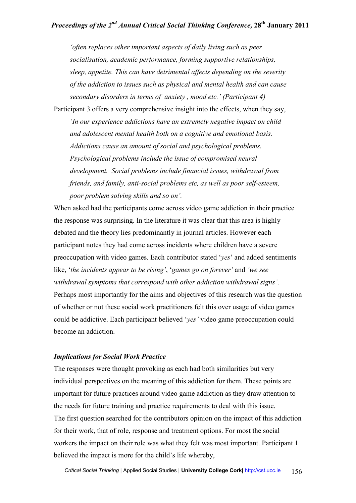*'often replaces other important aspects of daily living such as peer socialisation, academic performance, forming supportive relationships, sleep, appetite. This can have detrimental affects depending on the severity of the addiction to issues such as physical and mental health and can cause secondary disorders in terms of anxiety , mood etc.' (Participant 4)*

Participant 3 offers a very comprehensive insight into the effects, when they say, *'In our experience addictions have an extremely negative impact on child and adolescent mental health both on a cognitive and emotional basis. Addictions cause an amount of social and psychological problems. Psychological problems include the issue of compromised neural development. Social problems include financial issues, withdrawal from friends, and family, anti-social problems etc, as well as poor self-esteem, poor problem solving skills and so on'.* 

When asked had the participants come across video game addiction in their practice the response was surprising. In the literature it was clear that this area is highly debated and the theory lies predominantly in journal articles. However each participant notes they had come across incidents where children have a severe preoccupation with video games. Each contributor stated '*yes*' and added sentiments like, '*the incidents appear to be rising'*, '*games go on forever'* and *'we see withdrawal symptoms that correspond with other addiction withdrawal signs'*. Perhaps most importantly for the aims and objectives of this research was the question of whether or not these social work practitioners felt this over usage of video games could be addictive. Each participant believed '*yes'* video game preoccupation could become an addiction.

#### *Implications for Social Work Practice*

The responses were thought provoking as each had both similarities but very individual perspectives on the meaning of this addiction for them. These points are important for future practices around video game addiction as they draw attention to the needs for future training and practice requirements to deal with this issue. The first question searched for the contributors opinion on the impact of this addiction for their work, that of role, response and treatment options. For most the social workers the impact on their role was what they felt was most important. Participant 1 believed the impact is more for the child's life whereby,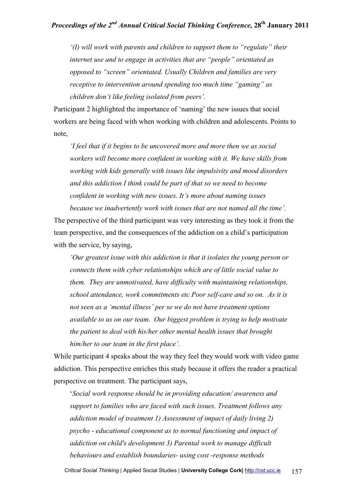*'(I) will work with parents and children to support them to "regulate" their internet use and to engage in activities that are "people" orientated as opposed to "screen" orientated. Usually Children and families are very receptive to intervention around spending too much time "gaming" as children don't like feeling isolated from peers'.* 

Participant 2 highlighted the importance of 'naming' the new issues that social workers are being faced with when working with children and adolescents. Points to note,

*'I feel that if it begins to be uncovered more and more then we as social workers will become more confident in working with it. We have skills from working with kids generally with issues like impulsivity and mood disorders and this addiction I think could be part of that so we need to become confident in working with new issues. It's more about naming issues because we inadvertently work with issues that are not named all the time'.* 

The perspective of the third participant was very interesting as they took it from the team perspective, and the consequences of the addiction on a child's participation with the service, by saying,

*'Our greatest issue with this addiction is that it isolates the young person or connects them with cyber relationships which are of little social value to them. They are unmotivated, have difficulty with maintaining relationships, school attendance, work commitments etc Poor self-care and so on. As it is not seen as a 'mental illness' per se we do not have treatment options available to us on our team. Our biggest problem is trying to help motivate the patient to deal with his/her other mental health issues that brought him/her to our team in the first place'.* 

While participant 4 speaks about the way they feel they would work with video game addiction. This perspective enriches this study because it offers the reader a practical perspective on treatment. The participant says,

'*Social work response should be in providing education/ awareness and support to families who are faced with such issues. Treatment follows any addiction model of treatment 1) Assessment of impact of daily living 2) psycho - educational component as to normal functioning and impact of addiction on child's development 3) Parental work to manage difficult behaviours and establish boundaries- using cost -response methods*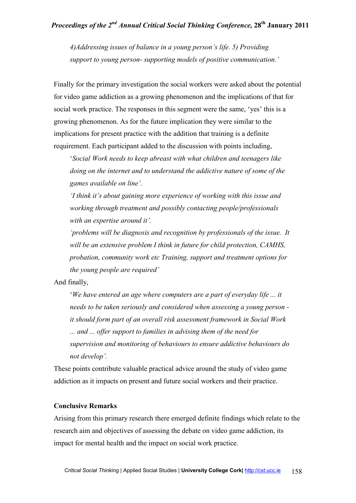*4)Addressing issues of balance in a young person's life. 5) Providing support to young person- supporting models of positive communication.'* 

Finally for the primary investigation the social workers were asked about the potential for video game addiction as a growing phenomenon and the implications of that for social work practice. The responses in this segment were the same, 'yes' this is a growing phenomenon. As for the future implication they were similar to the implications for present practice with the addition that training is a definite requirement. Each participant added to the discussion with points including,

'*Social Work needs to keep abreast with what children and teenagers like doing on the internet and to understand the addictive nature of some of the games available on line'.* 

*'I think it's about gaining more experience of working with this issue and working through treatment and possibly contacting people/professionals with an expertise around it'.* 

*'problems will be diagnosis and recognition by professionals of the issue. It will be an extensive problem I think in future for child protection, CAMHS, probation, community work etc Training, support and treatment options for the young people are required'* 

And finally,

'*We have entered an age where computers are a part of everyday life ... it needs to be taken seriously and considered when assessing a young person it should form part of an overall risk assessment framework in Social Work ... and ... offer support to families in advising them of the need for supervision and monitoring of behaviours to ensure addictive behaviours do not develop'.* 

These points contribute valuable practical advice around the study of video game addiction as it impacts on present and future social workers and their practice.

#### **Conclusive Remarks**

Arising from this primary research there emerged definite findings which relate to the research aim and objectives of assessing the debate on video game addiction, its impact for mental health and the impact on social work practice.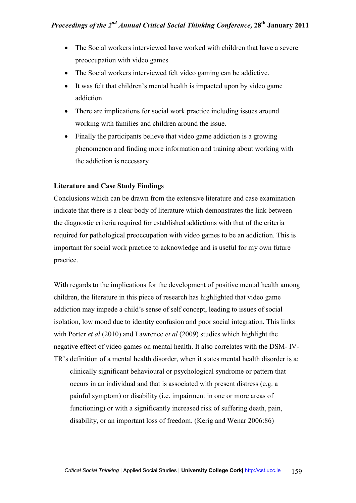- The Social workers interviewed have worked with children that have a severe preoccupation with video games
- The Social workers interviewed felt video gaming can be addictive.
- It was felt that children's mental health is impacted upon by video game addiction
- There are implications for social work practice including issues around working with families and children around the issue.
- Finally the participants believe that video game addiction is a growing phenomenon and finding more information and training about working with the addiction is necessary

#### **Literature and Case Study Findings**

Conclusions which can be drawn from the extensive literature and case examination indicate that there is a clear body of literature which demonstrates the link between the diagnostic criteria required for established addictions with that of the criteria required for pathological preoccupation with video games to be an addiction. This is important for social work practice to acknowledge and is useful for my own future practice.

With regards to the implications for the development of positive mental health among children, the literature in this piece of research has highlighted that video game addiction may impede a child's sense of self concept, leading to issues of social isolation, low mood due to identity confusion and poor social integration. This links with Porter *et al* (2010) and Lawrence *et al* (2009) studies which highlight the negative effect of video games on mental health. It also correlates with the DSM- IV-TR's definition of a mental health disorder, when it states mental health disorder is a: clinically significant behavioural or psychological syndrome or pattern that occurs in an individual and that is associated with present distress (e.g. a painful symptom) or disability (i.e. impairment in one or more areas of functioning) or with a significantly increased risk of suffering death, pain, disability, or an important loss of freedom. (Kerig and Wenar 2006:86)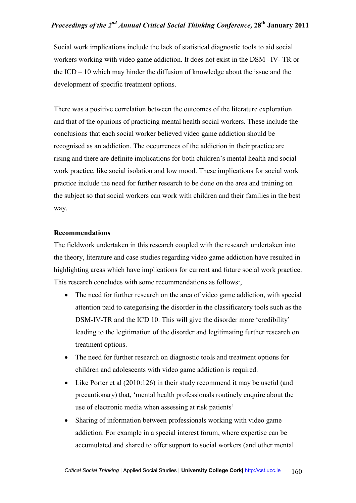Social work implications include the lack of statistical diagnostic tools to aid social workers working with video game addiction. It does not exist in the DSM –IV- TR or the ICD – 10 which may hinder the diffusion of knowledge about the issue and the development of specific treatment options.

There was a positive correlation between the outcomes of the literature exploration and that of the opinions of practicing mental health social workers. These include the conclusions that each social worker believed video game addiction should be recognised as an addiction. The occurrences of the addiction in their practice are rising and there are definite implications for both children's mental health and social work practice, like social isolation and low mood. These implications for social work practice include the need for further research to be done on the area and training on the subject so that social workers can work with children and their families in the best way.

#### **Recommendations**

The fieldwork undertaken in this research coupled with the research undertaken into the theory, literature and case studies regarding video game addiction have resulted in highlighting areas which have implications for current and future social work practice. This research concludes with some recommendations as follows:,

- The need for further research on the area of video game addiction, with special attention paid to categorising the disorder in the classificatory tools such as the DSM-IV-TR and the ICD 10. This will give the disorder more 'credibility' leading to the legitimation of the disorder and legitimating further research on treatment options.
- The need for further research on diagnostic tools and treatment options for children and adolescents with video game addiction is required.
- Like Porter et al (2010:126) in their study recommend it may be useful (and precautionary) that, 'mental health professionals routinely enquire about the use of electronic media when assessing at risk patients'
- Sharing of information between professionals working with video game addiction. For example in a special interest forum, where expertise can be accumulated and shared to offer support to social workers (and other mental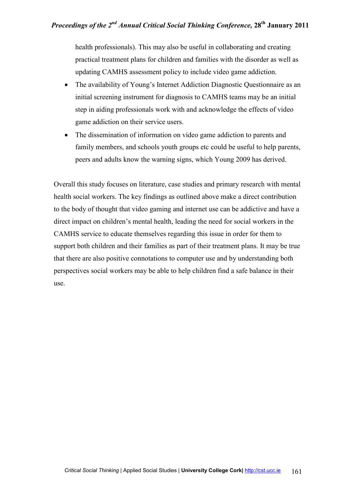health professionals). This may also be useful in collaborating and creating practical treatment plans for children and families with the disorder as well as updating CAMHS assessment policy to include video game addiction.

- The availability of Young's Internet Addiction Diagnostic Questionnaire as an initial screening instrument for diagnosis to CAMHS teams may be an initial step in aiding professionals work with and acknowledge the effects of video game addiction on their service users.
- The dissemination of information on video game addiction to parents and family members, and schools youth groups etc could be useful to help parents, peers and adults know the warning signs, which Young 2009 has derived.

Overall this study focuses on literature, case studies and primary research with mental health social workers. The key findings as outlined above make a direct contribution to the body of thought that video gaming and internet use can be addictive and have a direct impact on children's mental health, leading the need for social workers in the CAMHS service to educate themselves regarding this issue in order for them to support both children and their families as part of their treatment plans. It may be true that there are also positive connotations to computer use and by understanding both perspectives social workers may be able to help children find a safe balance in their use.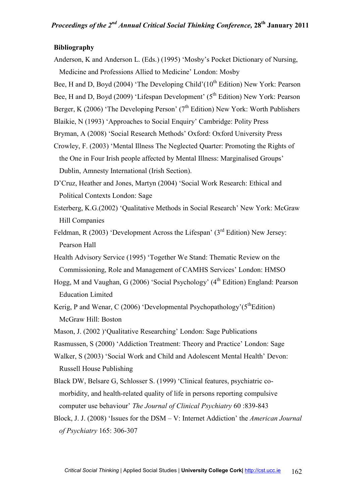#### **Bibliography**

Anderson, K and Anderson L. (Eds.) (1995) 'Mosby's Pocket Dictionary of Nursing, Medicine and Professions Allied to Medicine' London: Mosby

Bee, H and D, Boyd (2004) 'The Developing Child'( $10^{th}$  Edition) New York: Pearson

Bee, H and D, Boyd (2009) 'Lifespan Development' ( $5<sup>th</sup>$  Edition) New York: Pearson

Berger, K (2006) 'The Developing Person' ( $7<sup>th</sup>$  Edition) New York: Worth Publishers

Blaikie, N (1993) 'Approaches to Social Enquiry' Cambridge: Polity Press

- Bryman, A (2008) 'Social Research Methods' Oxford: Oxford University Press
- Crowley, F. (2003) 'Mental Illness The Neglected Quarter: Promoting the Rights of the One in Four Irish people affected by Mental Illness: Marginalised Groups' Dublin, Amnesty International (Irish Section).
- D'Cruz, Heather and Jones, Martyn (2004) 'Social Work Research: Ethical and Political Contexts London: Sage
- Esterberg, K.G.(2002) 'Qualitative Methods in Social Research' New York: McGraw Hill Companies
- Feldman, R (2003) 'Development Across the Lifespan' (3<sup>rd</sup> Edition) New Jersey: Pearson Hall
- Health Advisory Service (1995) 'Together We Stand: Thematic Review on the Commissioning, Role and Management of CAMHS Services' London: HMSO
- Hogg, M and Vaughan, G (2006) 'Social Psychology' (4<sup>th</sup> Edition) England: Pearson Education Limited
- Kerig, P and Wenar, C (2006) 'Developmental Psychopathology'( $5<sup>th</sup>Edition$ ) McGraw Hill: Boston
- Mason, J. (2002 )'Qualitative Researching' London: Sage Publications
- Rasmussen, S (2000) 'Addiction Treatment: Theory and Practice' London: Sage
- Walker, S (2003) 'Social Work and Child and Adolescent Mental Health' Devon: Russell House Publishing
- Black DW, Belsare G, Schlosser S. (1999) 'Clinical features, psychiatric comorbidity, and health-related quality of life in persons reporting compulsive computer use behaviour' *The Journal of Clinical Psychiatry* 60 :839-843
- Block, J. J. (2008) 'Issues for the DSM V: Internet Addiction' the *American Journal of Psychiatry* 165: 306-307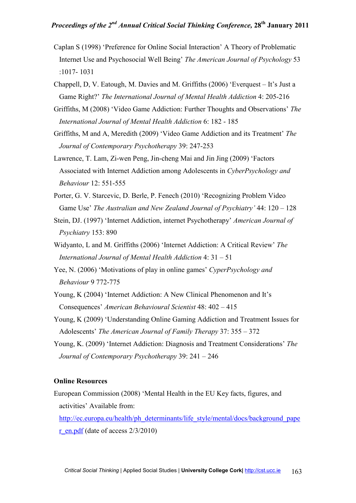- Caplan S (1998) 'Preference for Online Social Interaction' A Theory of Problematic Internet Use and Psychosocial Well Being' *The American Journal of Psychology* 53 :1017- 1031
- Chappell, D, V. Eatough, M. Davies and M. Griffiths (2006) 'Everquest It's Just a Game Right?' *The International Journal of Mental Health Addiction* 4: 205-216
- Griffiths, M (2008) 'Video Game Addiction: Further Thoughts and Observations' *The International Journal of Mental Health Addiction* 6: 182 - 185
- Griffiths, M and A, Meredith (2009) 'Video Game Addiction and its Treatment' *The Journal of Contemporary Psychotherapy* 39: 247-253
- Lawrence, T. Lam, Zi-wen Peng, Jin-cheng Mai and Jin Jing (2009) 'Factors Associated with Internet Addiction among Adolescents in *CyberPsychology and Behaviour* 12: 551-555
- Porter, G. V. Starcevic, D. Berle, P. Fenech (2010) 'Recognizing Problem Video Game Use' *The Australian and New Zealand Journal of Psychiatry'* 44: 120 – 128
- Stein, DJ. (1997) 'Internet Addiction, internet Psychotherapy' *American Journal of Psychiatry* 153: 890
- Widyanto, L and M. Griffiths (2006) 'Internet Addiction: A Critical Review' *The International Journal of Mental Health Addiction* 4: 31 – 51
- Yee, N. (2006) 'Motivations of play in online games' *CyperPsychology and Behaviour* 9 772-775
- Young, K (2004) 'Internet Addiction: A New Clinical Phenomenon and It's Consequences' *American Behavioural Scientist* 48: 402 – 415
- Young, K (2009) 'Understanding Online Gaming Addiction and Treatment Issues for Adolescents' *The American Journal of Family Therapy* 37: 355 – 372
- Young, K. (2009) 'Internet Addiction: Diagnosis and Treatment Considerations' *The Journal of Contemporary Psychotherapy* 39: 241 – 246

#### **Online Resources**

European Commission (2008) 'Mental Health in the EU Key facts, figures, and activities' Available from:

http://ec.europa.eu/health/ph\_determinants/life\_style/mental/docs/background\_pape r en.pdf (date of access  $2/3/2010$ )